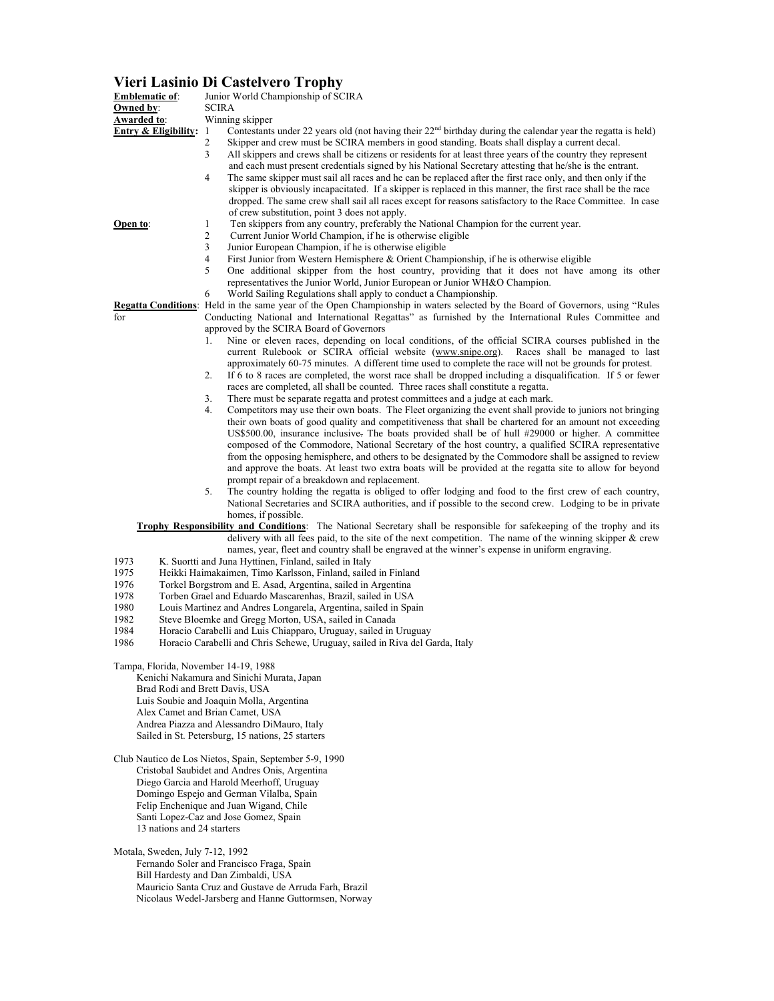## **Vieri Lasinio Di Castelvero Trophy**

| <b>Emblematic of:</b>                                                                                                                                                                                         | $P1$ cased at $P2$<br>Junior World Championship of SCIRA                                                                                                                                                                                |  |
|---------------------------------------------------------------------------------------------------------------------------------------------------------------------------------------------------------------|-----------------------------------------------------------------------------------------------------------------------------------------------------------------------------------------------------------------------------------------|--|
| Owned by:<br><b>Awarded to:</b>                                                                                                                                                                               | <b>SCIRA</b><br>Winning skipper                                                                                                                                                                                                         |  |
| <b>Entry &amp; Eligibility:</b> 1                                                                                                                                                                             | Contestants under 22 years old (not having their $22nd$ birthday during the calendar year the regatta is held)                                                                                                                          |  |
|                                                                                                                                                                                                               | Skipper and crew must be SCIRA members in good standing. Boats shall display a current decal.                                                                                                                                           |  |
|                                                                                                                                                                                                               | 3<br>All skippers and crews shall be citizens or residents for at least three years of the country they represent                                                                                                                       |  |
|                                                                                                                                                                                                               | and each must present credentials signed by his National Secretary attesting that he/she is the entrant.<br>4<br>The same skipper must sail all races and he can be replaced after the first race only, and then only if the            |  |
|                                                                                                                                                                                                               | skipper is obviously incapacitated. If a skipper is replaced in this manner, the first race shall be the race                                                                                                                           |  |
|                                                                                                                                                                                                               | dropped. The same crew shall sail all races except for reasons satisfactory to the Race Committee. In case                                                                                                                              |  |
|                                                                                                                                                                                                               | of crew substitution, point 3 does not apply.                                                                                                                                                                                           |  |
| Open to:                                                                                                                                                                                                      | Ten skippers from any country, preferably the National Champion for the current year.                                                                                                                                                   |  |
|                                                                                                                                                                                                               | Current Junior World Champion, if he is otherwise eligible<br>Junior European Champion, if he is otherwise eligible                                                                                                                     |  |
|                                                                                                                                                                                                               | First Junior from Western Hemisphere & Orient Championship, if he is otherwise eligible                                                                                                                                                 |  |
|                                                                                                                                                                                                               | One additional skipper from the host country, providing that it does not have among its other                                                                                                                                           |  |
|                                                                                                                                                                                                               | representatives the Junior World, Junior European or Junior WH&O Champion.                                                                                                                                                              |  |
|                                                                                                                                                                                                               | World Sailing Regulations shall apply to conduct a Championship.                                                                                                                                                                        |  |
| for                                                                                                                                                                                                           | Regatta Conditions: Held in the same year of the Open Championship in waters selected by the Board of Governors, using "Rules"<br>Conducting National and International Regattas" as furnished by the International Rules Committee and |  |
|                                                                                                                                                                                                               | approved by the SCIRA Board of Governors                                                                                                                                                                                                |  |
|                                                                                                                                                                                                               | Nine or eleven races, depending on local conditions, of the official SCIRA courses published in the<br>1.                                                                                                                               |  |
|                                                                                                                                                                                                               | current Rulebook or SCIRA official website (www.snipe.org). Races shall be managed to last<br>approximately 60-75 minutes. A different time used to complete the race will not be grounds for protest.                                  |  |
|                                                                                                                                                                                                               | If 6 to 8 races are completed, the worst race shall be dropped including a disqualification. If 5 or fewer<br>2.                                                                                                                        |  |
|                                                                                                                                                                                                               | races are completed, all shall be counted. Three races shall constitute a regatta.                                                                                                                                                      |  |
|                                                                                                                                                                                                               | There must be separate regatta and protest committees and a judge at each mark.<br>3.                                                                                                                                                   |  |
|                                                                                                                                                                                                               | 4.<br>Competitors may use their own boats. The Fleet organizing the event shall provide to juniors not bringing                                                                                                                         |  |
| their own boats of good quality and competitiveness that shall be chartered for an amount not exceeding<br>US\$500.00, insurance inclusive. The boats provided shall be of hull #29000 or higher. A committee |                                                                                                                                                                                                                                         |  |
| composed of the Commodore, National Secretary of the host country, a qualified SCIRA representative                                                                                                           |                                                                                                                                                                                                                                         |  |
|                                                                                                                                                                                                               | from the opposing hemisphere, and others to be designated by the Commodore shall be assigned to review                                                                                                                                  |  |
|                                                                                                                                                                                                               | and approve the boats. At least two extra boats will be provided at the regatta site to allow for beyond                                                                                                                                |  |
|                                                                                                                                                                                                               | prompt repair of a breakdown and replacement.<br>The country holding the regatta is obliged to offer lodging and food to the first crew of each country,<br>5.                                                                          |  |
|                                                                                                                                                                                                               | National Secretaries and SCIRA authorities, and if possible to the second crew. Lodging to be in private                                                                                                                                |  |
| homes, if possible.<br>Trophy Responsibility and Conditions: The National Secretary shall be responsible for safekeeping of the trophy and its                                                                |                                                                                                                                                                                                                                         |  |
| delivery with all fees paid, to the site of the next competition. The name of the winning skipper $\&$ crew                                                                                                   |                                                                                                                                                                                                                                         |  |
| names, year, fleet and country shall be engraved at the winner's expense in uniform engraving.                                                                                                                |                                                                                                                                                                                                                                         |  |
| 1973<br>K. Suortti and Juna Hyttinen, Finland, sailed in Italy                                                                                                                                                |                                                                                                                                                                                                                                         |  |
| 1975<br>Heikki Haimakaimen, Timo Karlsson, Finland, sailed in Finland<br>1976<br>Torkel Borgstrom and E. Asad, Argentina, sailed in Argentina                                                                 |                                                                                                                                                                                                                                         |  |
| 1978<br>Torben Grael and Eduardo Mascarenhas, Brazil, sailed in USA                                                                                                                                           |                                                                                                                                                                                                                                         |  |
| 1980<br>Louis Martinez and Andres Longarela, Argentina, sailed in Spain                                                                                                                                       |                                                                                                                                                                                                                                         |  |
| 1982<br>Steve Bloemke and Gregg Morton, USA, sailed in Canada                                                                                                                                                 |                                                                                                                                                                                                                                         |  |
| 1984<br>Horacio Carabelli and Luis Chiapparo, Uruguay, sailed in Uruguay<br>1986<br>Horacio Carabelli and Chris Schewe, Uruguay, sailed in Riva del Garda, Italy                                              |                                                                                                                                                                                                                                         |  |
|                                                                                                                                                                                                               |                                                                                                                                                                                                                                         |  |
| Tampa, Florida, November 14-19, 1988                                                                                                                                                                          |                                                                                                                                                                                                                                         |  |
| Kenichi Nakamura and Sinichi Murata, Japan<br>Brad Rodi and Brett Davis, USA                                                                                                                                  |                                                                                                                                                                                                                                         |  |
| Luis Soubie and Joaquin Molla, Argentina                                                                                                                                                                      |                                                                                                                                                                                                                                         |  |
| Alex Camet and Brian Camet, USA                                                                                                                                                                               |                                                                                                                                                                                                                                         |  |
| Andrea Piazza and Alessandro DiMauro, Italy                                                                                                                                                                   |                                                                                                                                                                                                                                         |  |
| Sailed in St. Petersburg, 15 nations, 25 starters                                                                                                                                                             |                                                                                                                                                                                                                                         |  |
| Club Nautico de Los Nietos, Spain, September 5-9, 1990                                                                                                                                                        |                                                                                                                                                                                                                                         |  |
| Cristobal Saubidet and Andres Onis, Argentina                                                                                                                                                                 |                                                                                                                                                                                                                                         |  |
| Diego Garcia and Harold Meerhoff, Uruguay<br>Domingo Espejo and German Vilalba, Spain                                                                                                                         |                                                                                                                                                                                                                                         |  |
| Felip Enchenique and Juan Wigand, Chile                                                                                                                                                                       |                                                                                                                                                                                                                                         |  |
| Santi Lopez-Caz and Jose Gomez, Spain                                                                                                                                                                         |                                                                                                                                                                                                                                         |  |
| 13 nations and 24 starters                                                                                                                                                                                    |                                                                                                                                                                                                                                         |  |
| Motala, Sweden, July 7-12, 1992                                                                                                                                                                               |                                                                                                                                                                                                                                         |  |
| Fernando Soler and Francisco Fraga, Spain                                                                                                                                                                     |                                                                                                                                                                                                                                         |  |
| Bill Hardesty and Dan Zimbaldi, USA                                                                                                                                                                           |                                                                                                                                                                                                                                         |  |

Mauricio Santa Cruz and Gustave de Arruda Farh, Brazil Nicolaus Wedel-Jarsberg and Hanne Guttormsen, Norway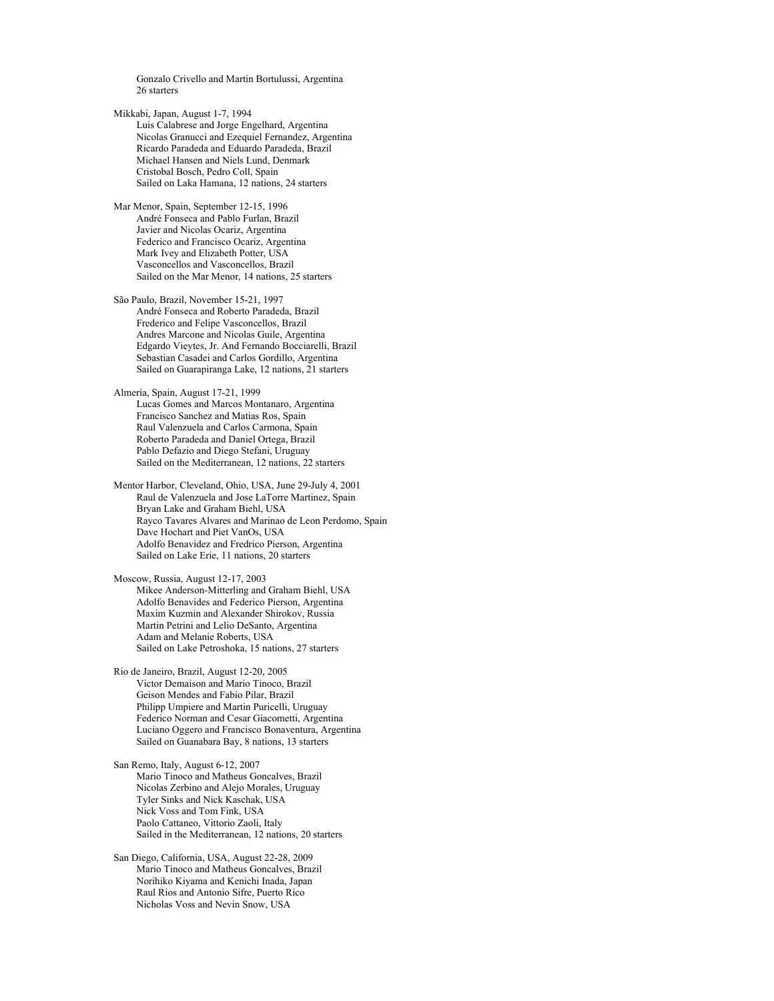Gonzalo Crivello and Martin Bortulussi, Argentina 26 starters

Mikkabi, Japan, August 1-7, 1994 Luis Calabrese and Jorge Engelhard, Argentina Nicolas Granucci and Ezequiel Fernandez, Argentina Ricardo Paradeda and Eduardo Paradeda, Brazil Michael Hansen and Niels Lund, Denmark Cristobal Bosch, Pedro Coll, Spain Sailed on Laka Hamana, 12 nations, 24 starters

Mar Menor, Spain, September 12-15, 1996 André Fonseca and Pablo Furlan, Brazil Javier and Nicolas Ocariz, Argentina Federico and Francisco Ocariz, Argentina Mark Ivey and Elizabeth Potter, USA Vasconcellos and Vasconcellos, Brazil Sailed on the Mar Menor, 14 nations, 25 starters

São Paulo, Brazil, November 15-21, 1997 André Fonseca and Roberto Paradeda, Brazil Frederico and Felipe Vasconcellos, Brazil Andres Marcone and Nicolas Guile, Argentina Edgardo Vieytes, Jr. And Fernando Bocciarelli, Brazil Sebastian Casadei and Carlos Gordillo, Argentina Sailed on Guarapiranga Lake, 12 nations, 21 starters

Almería, Spain, August 17-21, 1999 Lucas Gomes and Marcos Montanaro, Argentina Francisco Sanchez and Matias Ros, Spain Raul Valenzuela and Carlos Carmona, Spain Roberto Paradeda and Daniel Ortega, Brazil Pablo Defazio and Diego Stefani, Uruguay Sailed on the Mediterranean, 12 nations, 22 starters

Mentor Harbor, Cleveland, Ohio, USA, June 29-July 4, 2001 Raul de Valenzuela and Jose LaTorre Martinez, Spain Bryan Lake and Graham Biehl, USA Rayco Tavares Alvares and Marinao de Leon Perdomo, Spain Dave Hochart and Piet VanOs, USA Adolfo Benavidez and Fredrico Pierson, Argentina Sailed on Lake Erie, 11 nations, 20 starters

Moscow, Russia, August 12-17, 2003 Mikee Anderson-Mitterling and Graham Biehl, USA Adolfo Benavides and Federico Pierson, Argentina Maxim Kuzmin and Alexander Shirokov, Russia Martin Petrini and Lelio DeSanto, Argentina Adam and Melanie Roberts, USA Sailed on Lake Petroshoka, 15 nations, 27 starters

Rio de Janeiro, Brazil, August 12-20, 2005 Victor Demaison and Mario Tinoco, Brazil Geison Mendes and Fabio Pilar, Brazil Philipp Umpiere and Martin Puricelli, Uruguay Federico Norman and Cesar Giacometti, Argentina Luciano Oggero and Francisco Bonaventura, Argentina Sailed on Guanabara Bay, 8 nations, 13 starters

San Remo, Italy, August 6-12, 2007 Mario Tinoco and Matheus Goncalves, Brazil Nicolas Zerbino and Alejo Morales, Uruguay Tyler Sinks and Nick Kaschak, USA Nick Voss and Tom Fink, USA Paolo Cattaneo, Vittorio Zaoli, Italy Sailed in the Mediterranean, 12 nations, 20 starters

San Diego, California, USA, August 22-28, 2009 Mario Tinoco and Matheus Goncalves, Brazil Norihiko Kiyama and Kenichi Inada, Japan Raul Rios and Antonio Sifre, Puerto Rico Nicholas Voss and Nevin Snow, USA